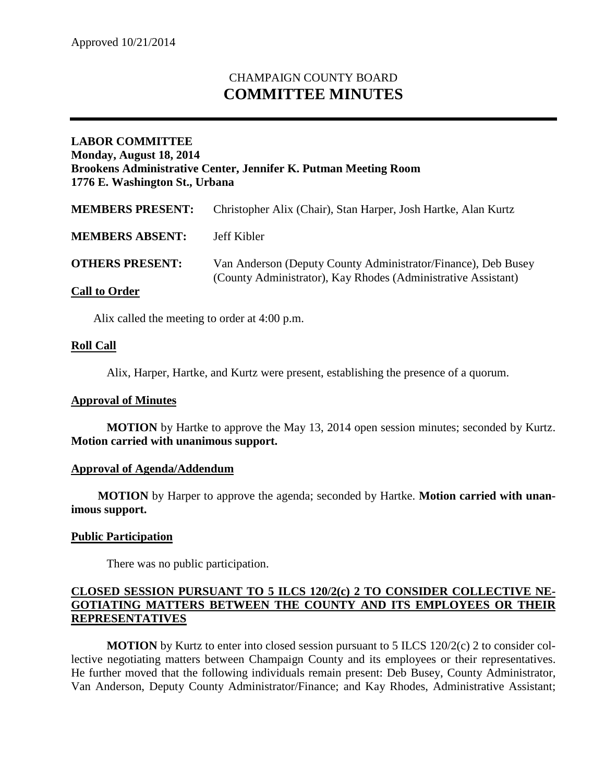# CHAMPAIGN COUNTY BOARD **COMMITTEE MINUTES**

# **LABOR COMMITTEE Monday, August 18, 2014 Brookens Administrative Center, Jennifer K. Putman Meeting Room 1776 E. Washington St., Urbana**

| <b>MEMBERS PRESENT:</b> | Christopher Alix (Chair), Stan Harper, Josh Hartke, Alan Kurtz                                                                 |
|-------------------------|--------------------------------------------------------------------------------------------------------------------------------|
| <b>MEMBERS ABSENT:</b>  | Jeff Kibler                                                                                                                    |
| <b>OTHERS PRESENT:</b>  | Van Anderson (Deputy County Administrator/Finance), Deb Busey<br>(County Administrator), Kay Rhodes (Administrative Assistant) |
| <b>Call to Order</b>    |                                                                                                                                |

Alix called the meeting to order at 4:00 p.m.

### **Roll Call**

Alix, Harper, Hartke, and Kurtz were present, establishing the presence of a quorum.

#### **Approval of Minutes**

**MOTION** by Hartke to approve the May 13, 2014 open session minutes; seconded by Kurtz. **Motion carried with unanimous support.**

#### **Approval of Agenda/Addendum**

**MOTION** by Harper to approve the agenda; seconded by Hartke. **Motion carried with unanimous support.**

#### **Public Participation**

There was no public participation.

### **CLOSED SESSION PURSUANT TO 5 ILCS 120/2(c) 2 TO CONSIDER COLLECTIVE NE-GOTIATING MATTERS BETWEEN THE COUNTY AND ITS EMPLOYEES OR THEIR REPRESENTATIVES**

**MOTION** by Kurtz to enter into closed session pursuant to 5 ILCS 120/2(c) 2 to consider collective negotiating matters between Champaign County and its employees or their representatives. He further moved that the following individuals remain present: Deb Busey, County Administrator, Van Anderson, Deputy County Administrator/Finance; and Kay Rhodes, Administrative Assistant;